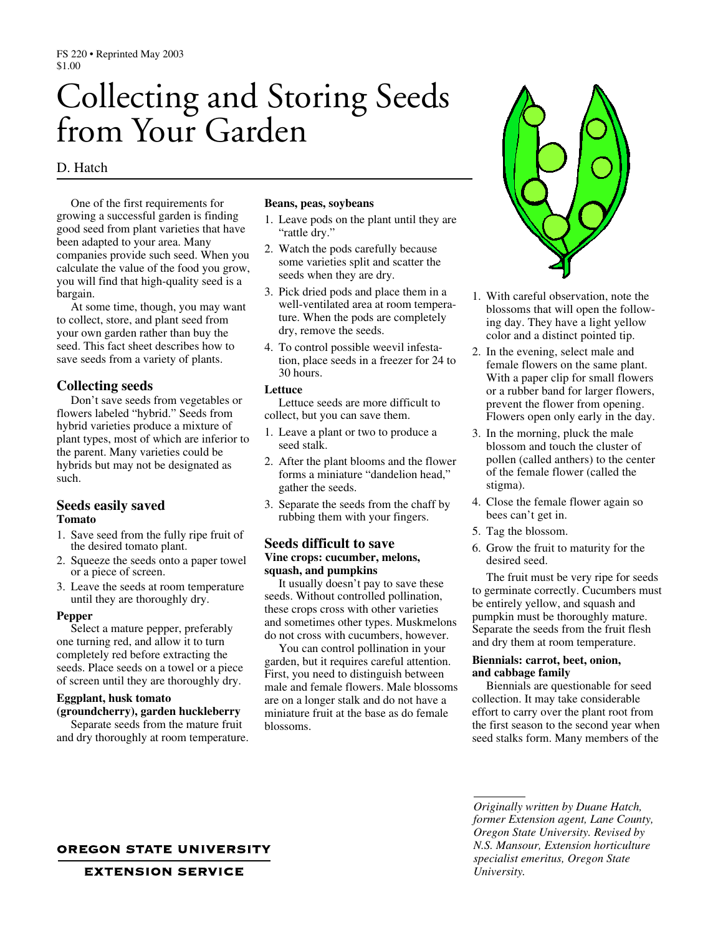# Collecting and Storing Seeds from Your Garden

# D. Hatch

One of the first requirements for growing a successful garden is finding good seed from plant varieties that have been adapted to your area. Many companies provide such seed. When you calculate the value of the food you grow, you will find that high-quality seed is a bargain.

At some time, though, you may want to collect, store, and plant seed from your own garden rather than buy the seed. This fact sheet describes how to save seeds from a variety of plants.

# **Collecting seeds**

Don't save seeds from vegetables or flowers labeled "hybrid." Seeds from hybrid varieties produce a mixture of plant types, most of which are inferior to the parent. Many varieties could be hybrids but may not be designated as such.

### **Seeds easily saved Tomato**

- 1. Save seed from the fully ripe fruit of the desired tomato plant.
- 2. Squeeze the seeds onto a paper towel or a piece of screen.
- 3. Leave the seeds at room temperature until they are thoroughly dry.

#### **Pepper**

Select a mature pepper, preferably one turning red, and allow it to turn completely red before extracting the seeds. Place seeds on a towel or a piece of screen until they are thoroughly dry.

# **Eggplant, husk tomato**

**(groundcherry), garden huckleberry** Separate seeds from the mature fruit and dry thoroughly at room temperature.

#### **Beans, peas, soybeans**

- 1. Leave pods on the plant until they are "rattle dry."
- 2. Watch the pods carefully because some varieties split and scatter the seeds when they are dry.
- 3. Pick dried pods and place them in a well-ventilated area at room temperature. When the pods are completely dry, remove the seeds.
- 4. To control possible weevil infestation, place seeds in a freezer for 24 to 30 hours.

#### **Lettuce**

Lettuce seeds are more difficult to collect, but you can save them.

- 1. Leave a plant or two to produce a seed stalk.
- 2. After the plant blooms and the flower forms a miniature "dandelion head," gather the seeds.
- 3. Separate the seeds from the chaff by rubbing them with your fingers.

#### **Seeds difficult to save Vine crops: cucumber, melons, squash, and pumpkins**

It usually doesn't pay to save these seeds. Without controlled pollination, these crops cross with other varieties and sometimes other types. Muskmelons do not cross with cucumbers, however.

You can control pollination in your garden, but it requires careful attention. First, you need to distinguish between male and female flowers. Male blossoms are on a longer stalk and do not have a miniature fruit at the base as do female blossoms.



- 1. With careful observation, note the blossoms that will open the following day. They have a light yellow color and a distinct pointed tip.
- 2. In the evening, select male and female flowers on the same plant. With a paper clip for small flowers or a rubber band for larger flowers, prevent the flower from opening. Flowers open only early in the day.
- 3. In the morning, pluck the male blossom and touch the cluster of pollen (called anthers) to the center of the female flower (called the stigma).
- 4. Close the female flower again so bees can't get in.
- 5. Tag the blossom.
- 6. Grow the fruit to maturity for the desired seed.

The fruit must be very ripe for seeds to germinate correctly. Cucumbers must be entirely yellow, and squash and pumpkin must be thoroughly mature. Separate the seeds from the fruit flesh and dry them at room temperature.

#### **Biennials: carrot, beet, onion, and cabbage family**

Biennials are questionable for seed collection. It may take considerable effort to carry over the plant root from the first season to the second year when seed stalks form. Many members of the

*Originally written by Duane Hatch, former Extension agent, Lane County, Oregon State University. Revised by N.S. Mansour, Extension horticulture specialist emeritus, Oregon State University.*

#### **OREGON STATE UNIVERSITY**

**EXTENSION SERVICE**